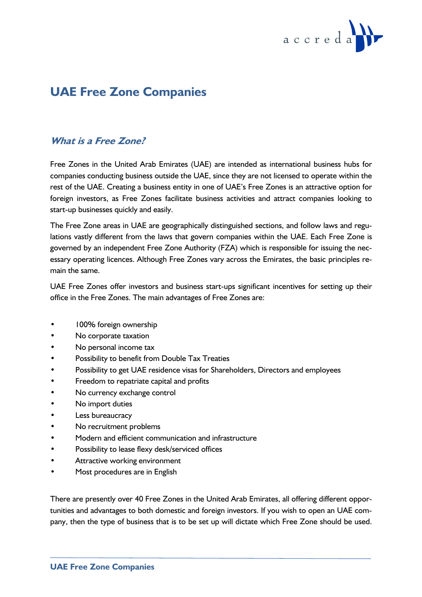

# **UAE Free Zone Companies**

# **What is a Free Zone?**

Free Zones in the United Arab Emirates (UAE) are intended as international business hubs for companies conducting business outside the UAE, since they are not licensed to operate within the rest of the UAE. Creating a business entity in one of UAE's Free Zones is an attractive option for foreign investors, as Free Zones facilitate business activities and attract companies looking to start-up businesses quickly and easily.

The Free Zone areas in UAE are geographically distinguished sections, and follow laws and regulations vastly different from the laws that govern companies within the UAE. Each Free Zone is governed by an independent Free Zone Authority (FZA) which is responsible for issuing the necessary operating licences. Although Free Zones vary across the Emirates, the basic principles remain the same.

UAE Free Zones offer investors and business start-ups significant incentives for setting up their office in the Free Zones. The main advantages of Free Zones are:

- 100% foreign ownership
- No corporate taxation
- No personal income tax
- Possibility to benefit from Double Tax Treaties
- Possibility to get UAE residence visas for Shareholders, Directors and employees
- Freedom to repatriate capital and profits
- No currency exchange control
- No import duties
- Less bureaucracy
- No recruitment problems
- Modern and efficient communication and infrastructure
- Possibility to lease flexy desk/serviced offices
- Attractive working environment
- Most procedures are in English

There are presently over 40 Free Zones in the United Arab Emirates, all offering different opportunities and advantages to both domestic and foreign investors. If you wish to open an UAE company, then the type of business that is to be set up will dictate which Free Zone should be used.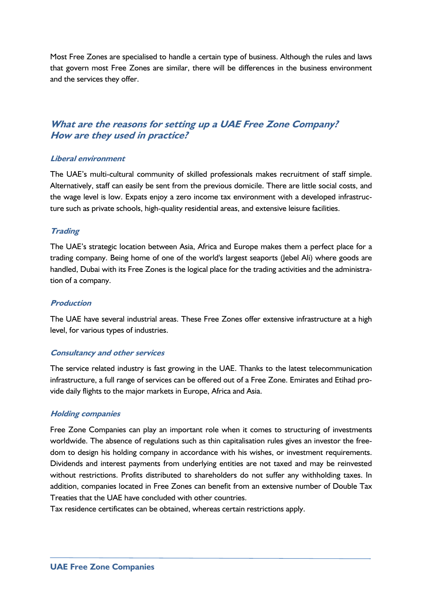Most Free Zones are specialised to handle a certain type of business. Although the rules and laws that govern most Free Zones are similar, there will be differences in the business environment and the services they offer.

# **What are the reasons for setting up a UAE Free Zone Company? How are they used in practice?**

## **Liberal environment**

The UAE's multi-cultural community of skilled professionals makes recruitment of staff simple. Alternatively, staff can easily be sent from the previous domicile. There are little social costs, and the wage level is low. Expats enjoy a zero income tax environment with a developed infrastructure such as private schools, high-quality residential areas, and extensive leisure facilities.

## **Trading**

The UAE's strategic location between Asia, Africa and Europe makes them a perfect place for a trading company. Being home of one of the world's largest seaports (Jebel Ali) where goods are handled, Dubai with its Free Zones is the logical place for the trading activities and the administration of a company.

#### **Production**

The UAE have several industrial areas. These Free Zones offer extensive infrastructure at a high level, for various types of industries.

#### **Consultancy and other services**

The service related industry is fast growing in the UAE. Thanks to the latest telecommunication infrastructure, a full range of services can be offered out of a Free Zone. Emirates and Etihad provide daily flights to the major markets in Europe, Africa and Asia.

#### **Holding companies**

Free Zone Companies can play an important role when it comes to structuring of investments worldwide. The absence of regulations such as thin capitalisation rules gives an investor the freedom to design his holding company in accordance with his wishes, or investment requirements. Dividends and interest payments from underlying entities are not taxed and may be reinvested without restrictions. Profits distributed to shareholders do not suffer any withholding taxes. In addition, companies located in Free Zones can benefit from an extensive number of Double Tax Treaties that the UAE have concluded with other countries.

Tax residence certificates can be obtained, whereas certain restrictions apply.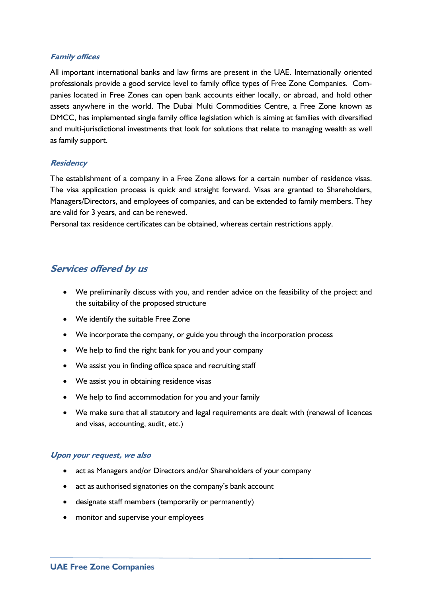## **Family offices**

All important international banks and law firms are present in the UAE. Internationally oriented professionals provide a good service level to family office types of Free Zone Companies. Companies located in Free Zones can open bank accounts either locally, or abroad, and hold other assets anywhere in the world. The Dubai Multi Commodities Centre, a Free Zone known as DMCC, has implemented single family office legislation which is aiming at families with diversified and multi-jurisdictional investments that look for solutions that relate to managing wealth as well as family support.

## **Residency**

The establishment of a company in a Free Zone allows for a certain number of residence visas. The visa application process is quick and straight forward. Visas are granted to Shareholders, Managers/Directors, and employees of companies, and can be extended to family members. They are valid for 3 years, and can be renewed.

Personal tax residence certificates can be obtained, whereas certain restrictions apply.

# **Services offered by us**

- We preliminarily discuss with you, and render advice on the feasibility of the project and the suitability of the proposed structure
- We identify the suitable Free Zone
- We incorporate the company, or guide you through the incorporation process
- We help to find the right bank for you and your company
- We assist you in finding office space and recruiting staff
- We assist you in obtaining residence visas
- We help to find accommodation for you and your family
- We make sure that all statutory and legal requirements are dealt with (renewal of licences and visas, accounting, audit, etc.)

#### **Upon your request, we also**

- act as Managers and/or Directors and/or Shareholders of your company
- act as authorised signatories on the company's bank account
- designate staff members (temporarily or permanently)
- monitor and supervise your employees